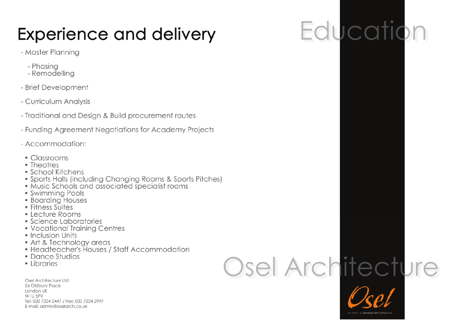## **Experience and delivery**

### - Master Planning

- Phasina
- Remodelling
- Brief Development
- Curriculum Analysis
- Traditional and Design & Build procurement routes
- Funding Agreement Negotiations for Academy Projects
- Accommodation:
- Classrooms
- Theatres
- School Kitchens
- Sports Halls (including Changing Rooms & Sports Pitches)
- · Music Schools and associated specialist rooms
- Swimming Pools
- Boarding Houses
- Fitness Suites
- Lecture Rooms
- Science Laboratories
- Vocational Training Centres
- Inclusion Units
- 
- Art & Technology areas<br>• Headteacher's Houses / Staff Accommodation
- Dance Studios
- Libraries

Osel Architecture Ltd 26 Oldbury Place London UK W1U 5PR Tel: 020 7224 2447 / Fax: 020 7224 2997 E-mail: admin@oselarch.co.uk

# Osel Architecture



## Education